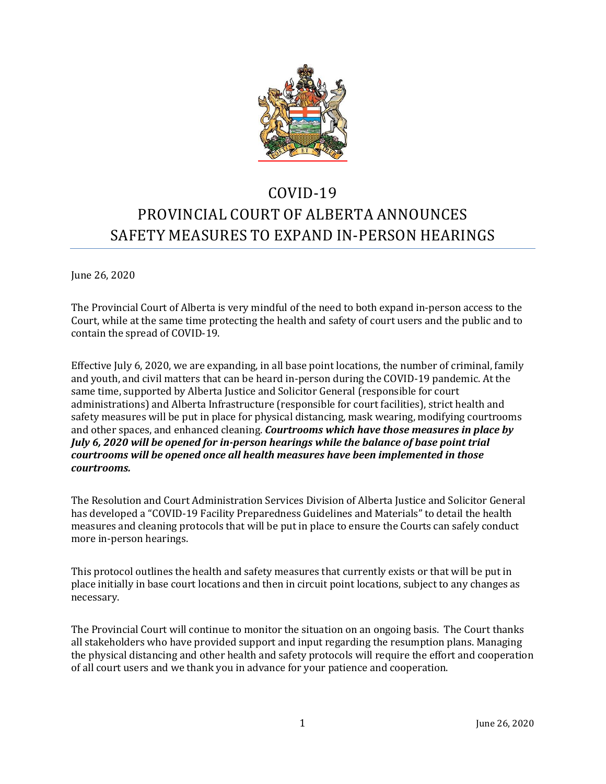

# COVID-19 PROVINCIAL COURT OF ALBERTA ANNOUNCES SAFETY MEASURES TO EXPAND IN-PERSON HEARINGS

June 26, 2020

The Provincial Court of Alberta is very mindful of the need to both expand in-person access to the Court, while at the same time protecting the health and safety of court users and the public and to contain the spread of COVID-19.

Effective July 6, 2020, we are expanding, in all base point locations, the number of criminal, family and youth, and civil matters that can be heard in-person during the COVID-19 pandemic. At the same time, supported by Alberta Justice and Solicitor General (responsible for court administrations) and Alberta Infrastructure (responsible for court facilities), strict health and safety measures will be put in place for physical distancing, mask wearing, modifying courtrooms and other spaces, and enhanced cleaning. *Courtrooms which have those measures in place by July 6, 2020 will be opened for in-person hearings while the balance of base point trial courtrooms will be opened once all health measures have been implemented in those courtrooms.* 

The Resolution and Court Administration Services Division of Alberta Justice and Solicitor General has developed a "COVID-19 Facility Preparedness Guidelines and Materials" to detail the health measures and cleaning protocols that will be put in place to ensure the Courts can safely conduct more in-person hearings.

This protocol outlines the health and safety measures that currently exists or that will be put in place initially in base court locations and then in circuit point locations, subject to any changes as necessary.

The Provincial Court will continue to monitor the situation on an ongoing basis. The Court thanks all stakeholders who have provided support and input regarding the resumption plans. Managing the physical distancing and other health and safety protocols will require the effort and cooperation of all court users and we thank you in advance for your patience and cooperation.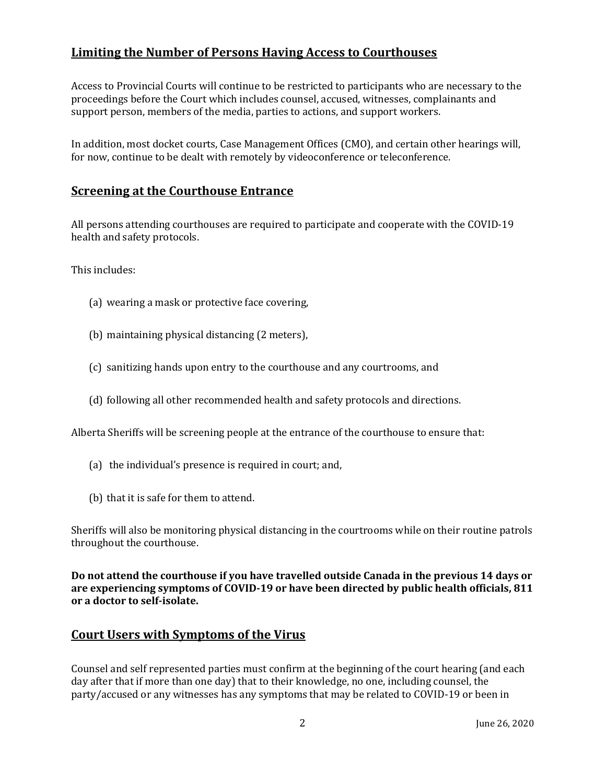# **Limiting the Number of Persons Having Access to Courthouses**

Access to Provincial Courts will continue to be restricted to participants who are necessary to the proceedings before the Court which includes counsel, accused, witnesses, complainants and support person, members of the media, parties to actions, and support workers.

In addition, most docket courts, Case Management Offices (CMO), and certain other hearings will, for now, continue to be dealt with remotely by videoconference or teleconference.

#### **Screening at the Courthouse Entrance**

All persons attending courthouses are required to participate and cooperate with the COVID-19 health and safety protocols.

This includes:

- (a) wearing a mask or protective face covering,
- (b) maintaining physical distancing (2 meters),
- (c) sanitizing hands upon entry to the courthouse and any courtrooms, and
- (d) following all other recommended health and safety protocols and directions.

Alberta Sheriffs will be screening people at the entrance of the courthouse to ensure that:

- (a) the individual's presence is required in court; and,
- (b) that it is safe for them to attend.

Sheriffs will also be monitoring physical distancing in the courtrooms while on their routine patrols throughout the courthouse.

**Do not attend the courthouse if you have travelled outside Canada in the previous 14 days or are experiencing symptoms of COVID-19 or have been directed by public health officials, 811 or a doctor to self-isolate.** 

#### **Court Users with Symptoms of the Virus**

Counsel and self represented parties must confirm at the beginning of the court hearing (and each day after that if more than one day) that to their knowledge, no one, including counsel, the party/accused or any witnesses has any symptoms that may be related to COVID-19 or been in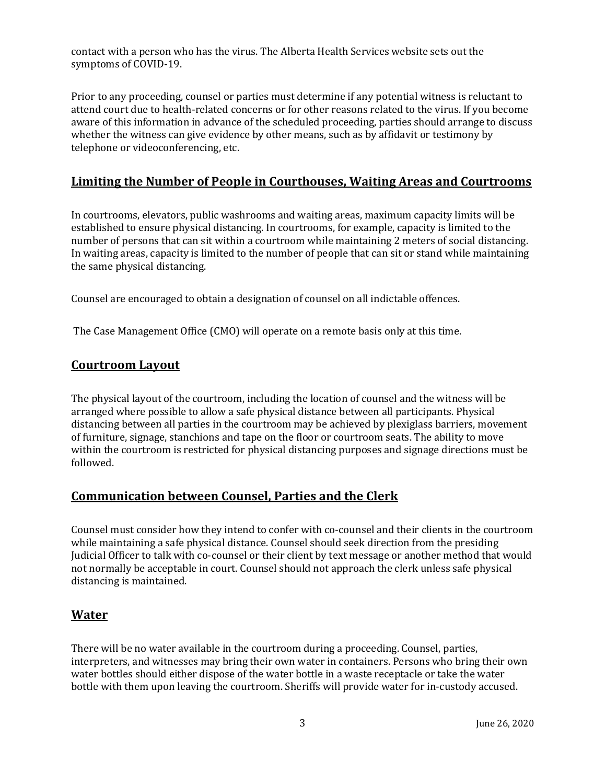contact with a person who has the virus. The Alberta Health Services website sets out the symptoms of COVID-19.

Prior to any proceeding, counsel or parties must determine if any potential witness is reluctant to attend court due to health-related concerns or for other reasons related to the virus. If you become aware of this information in advance of the scheduled proceeding, parties should arrange to discuss whether the witness can give evidence by other means, such as by affidavit or testimony by telephone or videoconferencing, etc.

## **Limiting the Number of People in Courthouses, Waiting Areas and Courtrooms**

In courtrooms, elevators, public washrooms and waiting areas, maximum capacity limits will be established to ensure physical distancing. In courtrooms, for example, capacity is limited to the number of persons that can sit within a courtroom while maintaining 2 meters of social distancing. In waiting areas, capacity is limited to the number of people that can sit or stand while maintaining the same physical distancing.

Counsel are encouraged to obtain a designation of counsel on all indictable offences.

The Case Management Office (CMO) will operate on a remote basis only at this time.

#### **Courtroom Layout**

The physical layout of the courtroom, including the location of counsel and the witness will be arranged where possible to allow a safe physical distance between all participants. Physical distancing between all parties in the courtroom may be achieved by plexiglass barriers, movement of furniture, signage, stanchions and tape on the floor or courtroom seats. The ability to move within the courtroom is restricted for physical distancing purposes and signage directions must be followed.

#### **Communication between Counsel, Parties and the Clerk**

Counsel must consider how they intend to confer with co-counsel and their clients in the courtroom while maintaining a safe physical distance. Counsel should seek direction from the presiding Judicial Officer to talk with co-counsel or their client by text message or another method that would not normally be acceptable in court. Counsel should not approach the clerk unless safe physical distancing is maintained.

#### **Water**

There will be no water available in the courtroom during a proceeding. Counsel, parties, interpreters, and witnesses may bring their own water in containers. Persons who bring their own water bottles should either dispose of the water bottle in a waste receptacle or take the water bottle with them upon leaving the courtroom. Sheriffs will provide water for in-custody accused.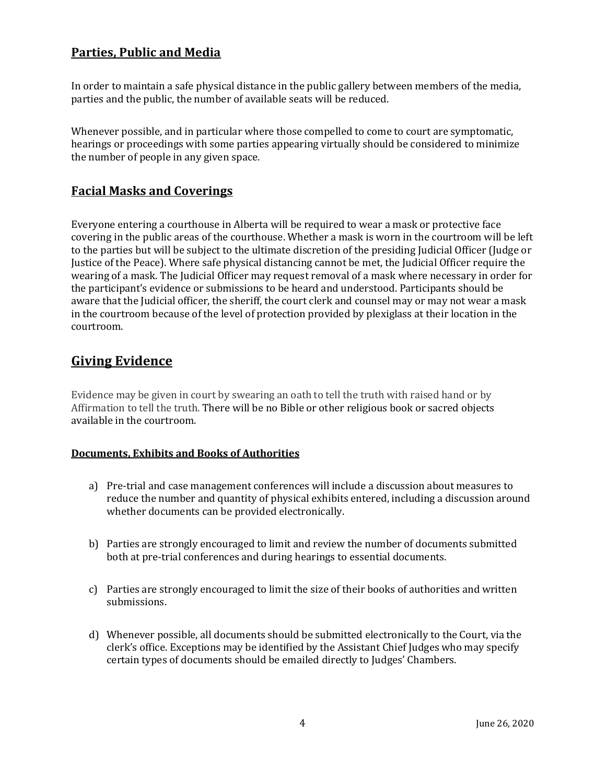# **Parties, Public and Media**

In order to maintain a safe physical distance in the public gallery between members of the media, parties and the public, the number of available seats will be reduced.

Whenever possible, and in particular where those compelled to come to court are symptomatic, hearings or proceedings with some parties appearing virtually should be considered to minimize the number of people in any given space.

### **Facial Masks and Coverings**

Everyone entering a courthouse in Alberta will be required to wear a mask or protective face covering in the public areas of the courthouse. Whether a mask is worn in the courtroom will be left to the parties but will be subject to the ultimate discretion of the presiding Judicial Officer (Judge or Justice of the Peace). Where safe physical distancing cannot be met, the Judicial Officer require the wearing of a mask. The Judicial Officer may request removal of a mask where necessary in order for the participant's evidence or submissions to be heard and understood. Participants should be aware that the Judicial officer, the sheriff, the court clerk and counsel may or may not wear a mask in the courtroom because of the level of protection provided by plexiglass at their location in the courtroom.

# **Giving Evidence**

Evidence may be given in court by swearing an oath to tell the truth with raised hand or by Affirmation to tell the truth. There will be no Bible or other religious book or sacred objects available in the courtroom.

#### **Documents, Exhibits and Books of Authorities**

- a) Pre-trial and case management conferences will include a discussion about measures to reduce the number and quantity of physical exhibits entered, including a discussion around whether documents can be provided electronically.
- b) Parties are strongly encouraged to limit and review the number of documents submitted both at pre-trial conferences and during hearings to essential documents.
- c) Parties are strongly encouraged to limit the size of their books of authorities and written submissions.
- d) Whenever possible, all documents should be submitted electronically to the Court, via the clerk's office. Exceptions may be identified by the Assistant Chief Judges who may specify certain types of documents should be emailed directly to Judges' Chambers.